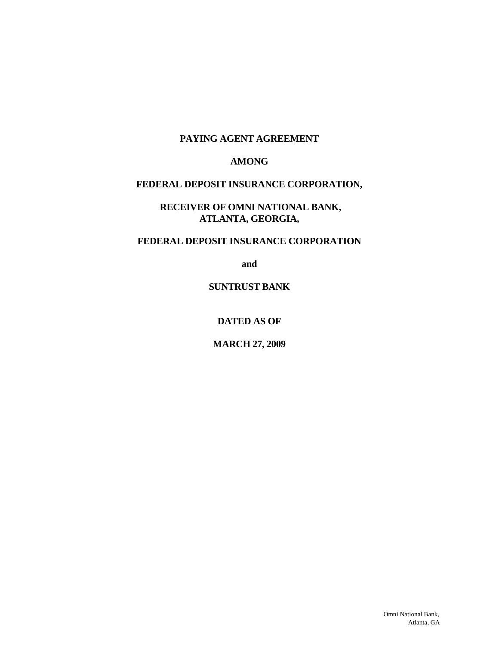#### **PAYING AGENT AGREEMENT**

#### **AMONG**

#### **FEDERAL DEPOSIT INSURANCE CORPORATION,**

**RECEIVER OF OMNI NATIONAL BANK, ATLANTA, GEORGIA,** 

### **FEDERAL DEPOSIT INSURANCE CORPORATION**

**and** 

**SUNTRUST BANK** 

**DATED AS OF** 

**MARCH 27, 2009**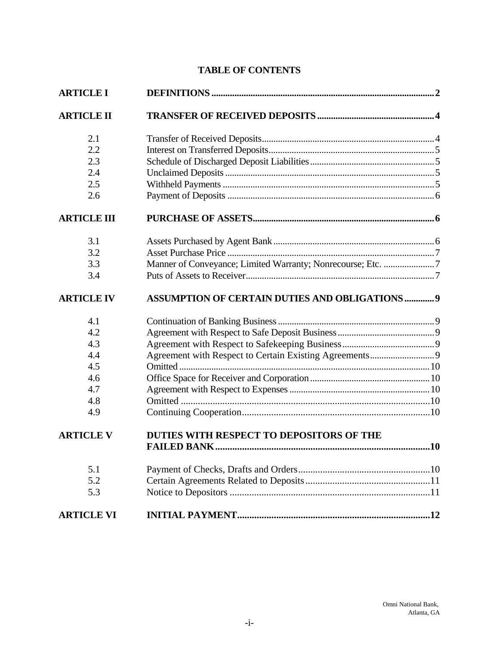# **TABLE OF CONTENTS**

| <b>ARTICLE I</b>   |                                                             |  |  |  |
|--------------------|-------------------------------------------------------------|--|--|--|
| <b>ARTICLE II</b>  |                                                             |  |  |  |
| 2.1                |                                                             |  |  |  |
| 2.2                |                                                             |  |  |  |
| 2.3                |                                                             |  |  |  |
| 2.4                |                                                             |  |  |  |
| 2.5                |                                                             |  |  |  |
| 2.6                |                                                             |  |  |  |
| <b>ARTICLE III</b> |                                                             |  |  |  |
| 3.1                |                                                             |  |  |  |
| 3.2                |                                                             |  |  |  |
| 3.3                | Manner of Conveyance; Limited Warranty; Nonrecourse; Etc. 7 |  |  |  |
| 3.4                |                                                             |  |  |  |
| <b>ARTICLE IV</b>  | <b>ASSUMPTION OF CERTAIN DUTIES AND OBLIGATIONS  9</b>      |  |  |  |
| 4.1                |                                                             |  |  |  |
| 4.2                |                                                             |  |  |  |
| 4.3                |                                                             |  |  |  |
| 4.4                |                                                             |  |  |  |
| 4.5                |                                                             |  |  |  |
| 4.6                |                                                             |  |  |  |
| 4.7                |                                                             |  |  |  |
| 4.8                |                                                             |  |  |  |
| 4.9                |                                                             |  |  |  |
| <b>ARTICLE V</b>   | DUTIES WITH RESPECT TO DEPOSITORS OF THE                    |  |  |  |
|                    |                                                             |  |  |  |
| 5.1                |                                                             |  |  |  |
| 5.2                |                                                             |  |  |  |
| 5.3                |                                                             |  |  |  |
| <b>ARTICLE VI</b>  |                                                             |  |  |  |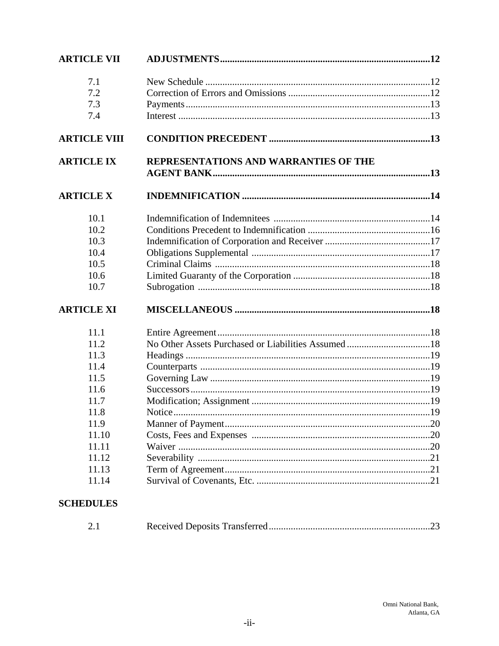| <b>ARTICLE VII</b>  |                                       |  |  |  |
|---------------------|---------------------------------------|--|--|--|
| 7.1                 |                                       |  |  |  |
| 7.2                 |                                       |  |  |  |
| 7.3                 |                                       |  |  |  |
| 7.4                 |                                       |  |  |  |
| <b>ARTICLE VIII</b> |                                       |  |  |  |
| <b>ARTICLE IX</b>   | REPRESENTATIONS AND WARRANTIES OF THE |  |  |  |
|                     |                                       |  |  |  |
| <b>ARTICLE X</b>    |                                       |  |  |  |
| 10.1                |                                       |  |  |  |
| 10.2                |                                       |  |  |  |
| 10.3                |                                       |  |  |  |
| 10.4                |                                       |  |  |  |
| 10.5                |                                       |  |  |  |
| 10.6                |                                       |  |  |  |
| 10.7                |                                       |  |  |  |
| <b>ARTICLE XI</b>   |                                       |  |  |  |
| 11.1                |                                       |  |  |  |
| 11.2                |                                       |  |  |  |
| 11.3                |                                       |  |  |  |
| 11.4                |                                       |  |  |  |
| 11.5                |                                       |  |  |  |
| 11.6                |                                       |  |  |  |
| 11.7                |                                       |  |  |  |
| 11.8                |                                       |  |  |  |
| 11.9                |                                       |  |  |  |
| 11.10               |                                       |  |  |  |
| 11.11               |                                       |  |  |  |
| 11.12               |                                       |  |  |  |
| 11.13               |                                       |  |  |  |
| 11.14               |                                       |  |  |  |
| <b>COHEDIII FC</b>  |                                       |  |  |  |

#### **SCHEDULES**

| 2.1 |  |  |  |
|-----|--|--|--|
|-----|--|--|--|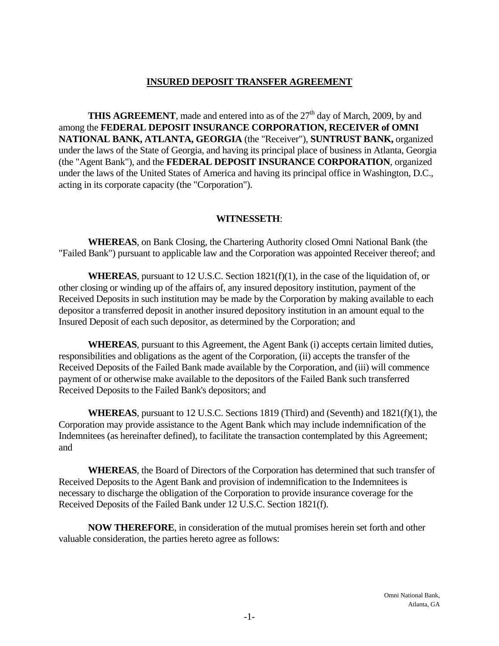#### **INSURED DEPOSIT TRANSFER AGREEMENT**

**THIS AGREEMENT**, made and entered into as of the  $27<sup>th</sup>$  day of March, 2009, by and among the **FEDERAL DEPOSIT INSURANCE CORPORATION, RECEIVER of OMNI NATIONAL BANK, ATLANTA, GEORGIA** (the "Receiver"), **SUNTRUST BANK,** organized under the laws of the State of Georgia, and having its principal place of business in Atlanta, Georgia (the "Agent Bank"), and the **FEDERAL DEPOSIT INSURANCE CORPORATION**, organized under the laws of the United States of America and having its principal office in Washington, D.C., acting in its corporate capacity (the "Corporation").

#### **WITNESSETH**:

**WHEREAS**, on Bank Closing, the Chartering Authority closed Omni National Bank (the "Failed Bank") pursuant to applicable law and the Corporation was appointed Receiver thereof; and

**WHEREAS**, pursuant to 12 U.S.C. Section 1821(f)(1), in the case of the liquidation of, or other closing or winding up of the affairs of, any insured depository institution, payment of the Received Deposits in such institution may be made by the Corporation by making available to each depositor a transferred deposit in another insured depository institution in an amount equal to the Insured Deposit of each such depositor, as determined by the Corporation; and

**WHEREAS**, pursuant to this Agreement, the Agent Bank (i) accepts certain limited duties, responsibilities and obligations as the agent of the Corporation, (ii) accepts the transfer of the Received Deposits of the Failed Bank made available by the Corporation, and (iii) will commence payment of or otherwise make available to the depositors of the Failed Bank such transferred Received Deposits to the Failed Bank's depositors; and

**WHEREAS**, pursuant to 12 U.S.C. Sections 1819 (Third) and (Seventh) and 1821(f)(1), the Corporation may provide assistance to the Agent Bank which may include indemnification of the Indemnitees (as hereinafter defined), to facilitate the transaction contemplated by this Agreement; and

**WHEREAS**, the Board of Directors of the Corporation has determined that such transfer of Received Deposits to the Agent Bank and provision of indemnification to the Indemnitees is necessary to discharge the obligation of the Corporation to provide insurance coverage for the Received Deposits of the Failed Bank under 12 U.S.C. Section 1821(f).

 **NOW THEREFORE**, in consideration of the mutual promises herein set forth and other valuable consideration, the parties hereto agree as follows: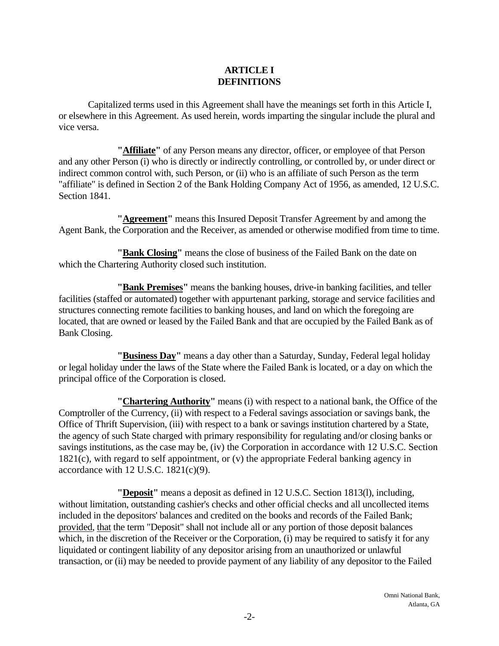### **ARTICLE I DEFINITIONS**

Capitalized terms used in this Agreement shall have the meanings set forth in this Article I, or elsewhere in this Agreement. As used herein, words imparting the singular include the plural and vice versa.

**"Affiliate"** of any Person means any director, officer, or employee of that Person and any other Person (i) who is directly or indirectly controlling, or controlled by, or under direct or indirect common control with, such Person, or (ii) who is an affiliate of such Person as the term "affiliate" is defined in Section 2 of the Bank Holding Company Act of 1956, as amended, 12 U.S.C. Section 1841.

**"Agreement"** means this Insured Deposit Transfer Agreement by and among the Agent Bank, the Corporation and the Receiver, as amended or otherwise modified from time to time.

**"Bank Closing"** means the close of business of the Failed Bank on the date on which the Chartering Authority closed such institution.

**"Bank Premises"** means the banking houses, drive-in banking facilities, and teller facilities (staffed or automated) together with appurtenant parking, storage and service facilities and structures connecting remote facilities to banking houses, and land on which the foregoing are located, that are owned or leased by the Failed Bank and that are occupied by the Failed Bank as of Bank Closing.

**"Business Day"** means a day other than a Saturday, Sunday, Federal legal holiday or legal holiday under the laws of the State where the Failed Bank is located, or a day on which the principal office of the Corporation is closed.

**"Chartering Authority"** means (i) with respect to a national bank, the Office of the Comptroller of the Currency, (ii) with respect to a Federal savings association or savings bank, the Office of Thrift Supervision, (iii) with respect to a bank or savings institution chartered by a State, the agency of such State charged with primary responsibility for regulating and/or closing banks or savings institutions, as the case may be, (iv) the Corporation in accordance with 12 U.S.C. Section 1821(c), with regard to self appointment, or (v) the appropriate Federal banking agency in accordance with  $12$  U.S.C.  $1821(c)(9)$ .

**"Deposit"** means a deposit as defined in 12 U.S.C. Section 1813(l), including, without limitation, outstanding cashier's checks and other official checks and all uncollected items included in the depositors' balances and credited on the books and records of the Failed Bank; provided, that the term "Deposit" shall not include all or any portion of those deposit balances which, in the discretion of the Receiver or the Corporation, (i) may be required to satisfy it for any liquidated or contingent liability of any depositor arising from an unauthorized or unlawful transaction, or (ii) may be needed to provide payment of any liability of any depositor to the Failed

> Omni National Bank, Atlanta, GA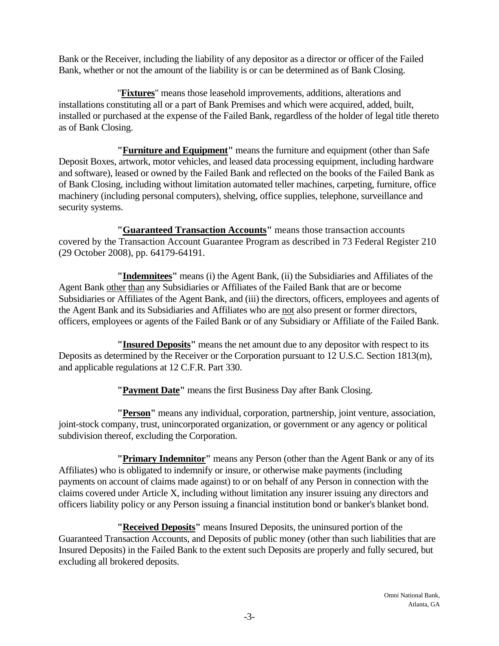Bank or the Receiver, including the liability of any depositor as a director or officer of the Failed Bank, whether or not the amount of the liability is or can be determined as of Bank Closing.

"**Fixtures**" means those leasehold improvements, additions, alterations and installations constituting all or a part of Bank Premises and which were acquired, added, built, installed or purchased at the expense of the Failed Bank, regardless of the holder of legal title thereto as of Bank Closing.

**"Furniture and Equipment"** means the furniture and equipment (other than Safe Deposit Boxes, artwork, motor vehicles, and leased data processing equipment, including hardware and software), leased or owned by the Failed Bank and reflected on the books of the Failed Bank as of Bank Closing, including without limitation automated teller machines, carpeting, furniture, office machinery (including personal computers), shelving, office supplies, telephone, surveillance and security systems.

**"Guaranteed Transaction Accounts"** means those transaction accounts covered by the Transaction Account Guarantee Program as described in 73 Federal Register 210 (29 October 2008), pp. 64179-64191.

**"Indemnitees"** means (i) the Agent Bank, (ii) the Subsidiaries and Affiliates of the Agent Bank other than any Subsidiaries or Affiliates of the Failed Bank that are or become Subsidiaries or Affiliates of the Agent Bank, and (iii) the directors, officers, employees and agents of the Agent Bank and its Subsidiaries and Affiliates who are not also present or former directors, officers, employees or agents of the Failed Bank or of any Subsidiary or Affiliate of the Failed Bank.

**"Insured Deposits"** means the net amount due to any depositor with respect to its Deposits as determined by the Receiver or the Corporation pursuant to 12 U.S.C. Section 1813(m), and applicable regulations at 12 C.F.R. Part 330.

**"Payment Date"** means the first Business Day after Bank Closing.

 **"Person"** means any individual, corporation, partnership, joint venture, association, joint-stock company, trust, unincorporated organization, or government or any agency or political subdivision thereof, excluding the Corporation.

 officers liability policy or any Person issuing a financial institution bond or banker's blanket bond. **"Primary Indemnitor"** means any Person (other than the Agent Bank or any of its Affiliates) who is obligated to indemnify or insure, or otherwise make payments (including payments on account of claims made against) to or on behalf of any Person in connection with the claims covered under Article X, including without limitation any insurer issuing any directors and

 **"Received Deposits"** means Insured Deposits, the uninsured portion of the Guaranteed Transaction Accounts, and Deposits of public money (other than such liabilities that are Insured Deposits) in the Failed Bank to the extent such Deposits are properly and fully secured, but excluding all brokered deposits.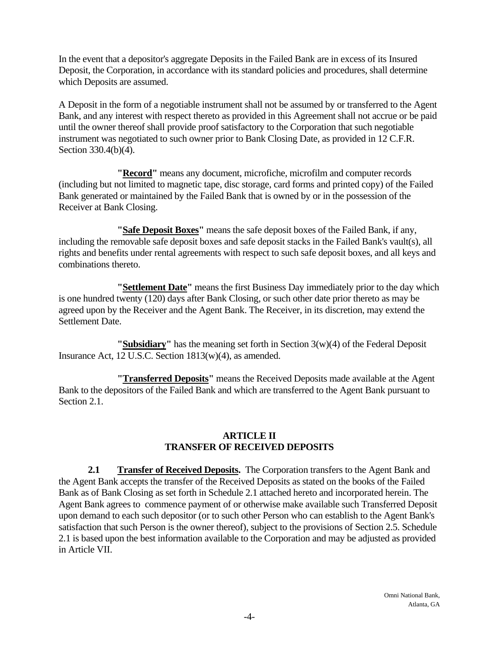In the event that a depositor's aggregate Deposits in the Failed Bank are in excess of its Insured Deposit, the Corporation, in accordance with its standard policies and procedures, shall determine which Deposits are assumed.

A Deposit in the form of a negotiable instrument shall not be assumed by or transferred to the Agent Bank, and any interest with respect thereto as provided in this Agreement shall not accrue or be paid until the owner thereof shall provide proof satisfactory to the Corporation that such negotiable instrument was negotiated to such owner prior to Bank Closing Date, as provided in 12 C.F.R. Section 330.4(b)(4).

**"Record"** means any document, microfiche, microfilm and computer records (including but not limited to magnetic tape, disc storage, card forms and printed copy) of the Failed Bank generated or maintained by the Failed Bank that is owned by or in the possession of the Receiver at Bank Closing.

**"Safe Deposit Boxes"** means the safe deposit boxes of the Failed Bank, if any, including the removable safe deposit boxes and safe deposit stacks in the Failed Bank's vault(s), all rights and benefits under rental agreements with respect to such safe deposit boxes, and all keys and combinations thereto.

**"Settlement Date"** means the first Business Day immediately prior to the day which is one hundred twenty (120) days after Bank Closing, or such other date prior thereto as may be agreed upon by the Receiver and the Agent Bank. The Receiver, in its discretion, may extend the Settlement Date.

**"Subsidiary"** has the meaning set forth in Section 3(w)(4) of the Federal Deposit Insurance Act, 12 U.S.C. Section 1813(w)(4), as amended.

 **"Transferred Deposits"** means the Received Deposits made available at the Agent Bank to the depositors of the Failed Bank and which are transferred to the Agent Bank pursuant to Section 2.1.

#### **ARTICLE II TRANSFER OF RECEIVED DEPOSITS**

**2.1 Transfer of Received Deposits.** The Corporation transfers to the Agent Bank and the Agent Bank accepts the transfer of the Received Deposits as stated on the books of the Failed Bank as of Bank Closing as set forth in Schedule 2.1 attached hereto and incorporated herein. The Agent Bank agrees to commence payment of or otherwise make available such Transferred Deposit upon demand to each such depositor (or to such other Person who can establish to the Agent Bank's satisfaction that such Person is the owner thereof), subject to the provisions of Section 2.5. Schedule 2.1 is based upon the best information available to the Corporation and may be adjusted as provided in Article VII.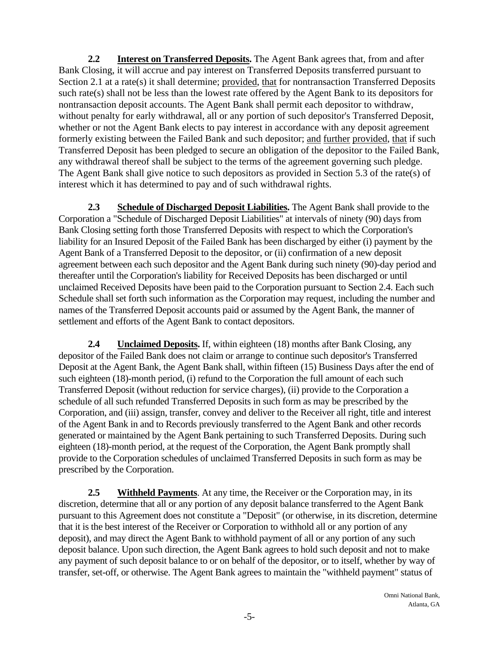**2.2 Interest on Transferred Deposits.** The Agent Bank agrees that, from and after Bank Closing, it will accrue and pay interest on Transferred Deposits transferred pursuant to Section 2.1 at a rate(s) it shall determine; provided, that for nontransaction Transferred Deposits such rate(s) shall not be less than the lowest rate offered by the Agent Bank to its depositors for nontransaction deposit accounts. The Agent Bank shall permit each depositor to withdraw, without penalty for early withdrawal, all or any portion of such depositor's Transferred Deposit, whether or not the Agent Bank elects to pay interest in accordance with any deposit agreement formerly existing between the Failed Bank and such depositor; and further provided, that if such Transferred Deposit has been pledged to secure an obligation of the depositor to the Failed Bank, any withdrawal thereof shall be subject to the terms of the agreement governing such pledge. The Agent Bank shall give notice to such depositors as provided in Section 5.3 of the rate(s) of interest which it has determined to pay and of such withdrawal rights.

**2.3 Schedule of Discharged Deposit Liabilities.** The Agent Bank shall provide to the Corporation a "Schedule of Discharged Deposit Liabilities" at intervals of ninety (90) days from Bank Closing setting forth those Transferred Deposits with respect to which the Corporation's liability for an Insured Deposit of the Failed Bank has been discharged by either (i) payment by the Agent Bank of a Transferred Deposit to the depositor, or (ii) confirmation of a new deposit agreement between each such depositor and the Agent Bank during such ninety (90)-day period and thereafter until the Corporation's liability for Received Deposits has been discharged or until unclaimed Received Deposits have been paid to the Corporation pursuant to Section 2.4. Each such Schedule shall set forth such information as the Corporation may request, including the number and names of the Transferred Deposit accounts paid or assumed by the Agent Bank, the manner of settlement and efforts of the Agent Bank to contact depositors.

**2.4 Unclaimed Deposits.** If, within eighteen (18) months after Bank Closing, any depositor of the Failed Bank does not claim or arrange to continue such depositor's Transferred Deposit at the Agent Bank, the Agent Bank shall, within fifteen (15) Business Days after the end of such eighteen (18)-month period, (i) refund to the Corporation the full amount of each such Transferred Deposit (without reduction for service charges), (ii) provide to the Corporation a schedule of all such refunded Transferred Deposits in such form as may be prescribed by the Corporation, and (iii) assign, transfer, convey and deliver to the Receiver all right, title and interest of the Agent Bank in and to Records previously transferred to the Agent Bank and other records generated or maintained by the Agent Bank pertaining to such Transferred Deposits. During such eighteen (18)-month period, at the request of the Corporation, the Agent Bank promptly shall provide to the Corporation schedules of unclaimed Transferred Deposits in such form as may be prescribed by the Corporation.

**2.5 Withheld Payments**. At any time, the Receiver or the Corporation may, in its discretion, determine that all or any portion of any deposit balance transferred to the Agent Bank pursuant to this Agreement does not constitute a "Deposit" (or otherwise, in its discretion, determine that it is the best interest of the Receiver or Corporation to withhold all or any portion of any deposit), and may direct the Agent Bank to withhold payment of all or any portion of any such deposit balance. Upon such direction, the Agent Bank agrees to hold such deposit and not to make any payment of such deposit balance to or on behalf of the depositor, or to itself, whether by way of transfer, set-off, or otherwise. The Agent Bank agrees to maintain the "withheld payment" status of

> Omni National Bank, Atlanta, GA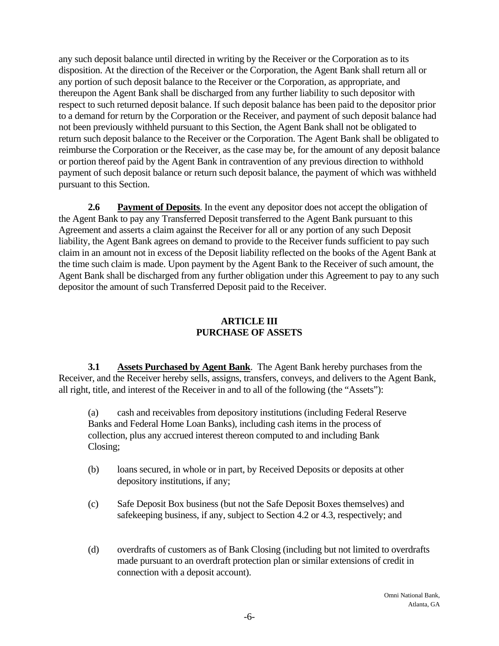any such deposit balance until directed in writing by the Receiver or the Corporation as to its disposition. At the direction of the Receiver or the Corporation, the Agent Bank shall return all or any portion of such deposit balance to the Receiver or the Corporation, as appropriate, and thereupon the Agent Bank shall be discharged from any further liability to such depositor with respect to such returned deposit balance. If such deposit balance has been paid to the depositor prior to a demand for return by the Corporation or the Receiver, and payment of such deposit balance had not been previously withheld pursuant to this Section, the Agent Bank shall not be obligated to return such deposit balance to the Receiver or the Corporation. The Agent Bank shall be obligated to reimburse the Corporation or the Receiver, as the case may be, for the amount of any deposit balance or portion thereof paid by the Agent Bank in contravention of any previous direction to withhold payment of such deposit balance or return such deposit balance, the payment of which was withheld pursuant to this Section.

**2.6** Payment of Deposits. In the event any depositor does not accept the obligation of the Agent Bank to pay any Transferred Deposit transferred to the Agent Bank pursuant to this Agreement and asserts a claim against the Receiver for all or any portion of any such Deposit liability, the Agent Bank agrees on demand to provide to the Receiver funds sufficient to pay such claim in an amount not in excess of the Deposit liability reflected on the books of the Agent Bank at the time such claim is made. Upon payment by the Agent Bank to the Receiver of such amount, the Agent Bank shall be discharged from any further obligation under this Agreement to pay to any such depositor the amount of such Transferred Deposit paid to the Receiver.

### **ARTICLE III PURCHASE OF ASSETS**

 **3.1 Assets Purchased by Agent Bank**. The Agent Bank hereby purchases from the Receiver, and the Receiver hereby sells, assigns, transfers, conveys, and delivers to the Agent Bank, all right, title, and interest of the Receiver in and to all of the following (the "Assets"):

(a) cash and receivables from depository institutions (including Federal Reserve Banks and Federal Home Loan Banks), including cash items in the process of collection, plus any accrued interest thereon computed to and including Bank Closing;

- (b) loans secured, in whole or in part, by Received Deposits or deposits at other depository institutions, if any;
- (c) Safe Deposit Box business (but not the Safe Deposit Boxes themselves) and safekeeping business, if any, subject to Section 4.2 or 4.3, respectively; and
- (d) overdrafts of customers as of Bank Closing (including but not limited to overdrafts made pursuant to an overdraft protection plan or similar extensions of credit in connection with a deposit account).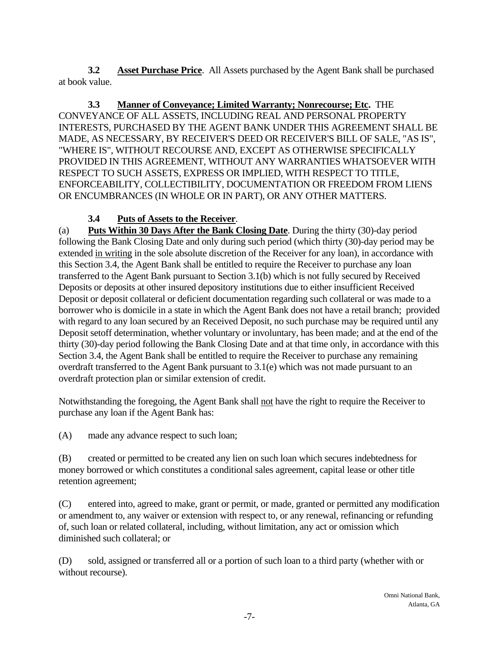**3.2 Asset Purchase Price**. All Assets purchased by the Agent Bank shall be purchased at book value.

**3.3 Manner of Conveyance; Limited Warranty; Nonrecourse; Etc.** THE CONVEYANCE OF ALL ASSETS, INCLUDING REAL AND PERSONAL PROPERTY INTERESTS, PURCHASED BY THE AGENT BANK UNDER THIS AGREEMENT SHALL BE MADE, AS NECESSARY, BY RECEIVER'S DEED OR RECEIVER'S BILL OF SALE, "AS IS", "WHERE IS", WITHOUT RECOURSE AND, EXCEPT AS OTHERWISE SPECIFICALLY PROVIDED IN THIS AGREEMENT, WITHOUT ANY WARRANTIES WHATSOEVER WITH RESPECT TO SUCH ASSETS, EXPRESS OR IMPLIED, WITH RESPECT TO TITLE, ENFORCEABILITY, COLLECTIBILITY, DOCUMENTATION OR FREEDOM FROM LIENS OR ENCUMBRANCES (IN WHOLE OR IN PART), OR ANY OTHER MATTERS.

# **3.4 Puts of Assets to the Receiver**.

(a) **Puts Within 30 Days After the Bank Closing Date**. During the thirty (30)-day period following the Bank Closing Date and only during such period (which thirty (30)-day period may be extended in writing in the sole absolute discretion of the Receiver for any loan), in accordance with this Section 3.4, the Agent Bank shall be entitled to require the Receiver to purchase any loan transferred to the Agent Bank pursuant to Section 3.1(b) which is not fully secured by Received Deposits or deposits at other insured depository institutions due to either insufficient Received Deposit or deposit collateral or deficient documentation regarding such collateral or was made to a borrower who is domicile in a state in which the Agent Bank does not have a retail branch; provided with regard to any loan secured by an Received Deposit, no such purchase may be required until any Deposit setoff determination, whether voluntary or involuntary, has been made; and at the end of the thirty (30)-day period following the Bank Closing Date and at that time only, in accordance with this Section 3.4, the Agent Bank shall be entitled to require the Receiver to purchase any remaining overdraft transferred to the Agent Bank pursuant to 3.1(e) which was not made pursuant to an overdraft protection plan or similar extension of credit.

Notwithstanding the foregoing, the Agent Bank shall not have the right to require the Receiver to purchase any loan if the Agent Bank has:

(A) made any advance respect to such loan;

(B) created or permitted to be created any lien on such loan which secures indebtedness for money borrowed or which constitutes a conditional sales agreement, capital lease or other title retention agreement;

(C) entered into, agreed to make, grant or permit, or made, granted or permitted any modification or amendment to, any waiver or extension with respect to, or any renewal, refinancing or refunding of, such loan or related collateral, including, without limitation, any act or omission which diminished such collateral; or

(D) sold, assigned or transferred all or a portion of such loan to a third party (whether with or without recourse).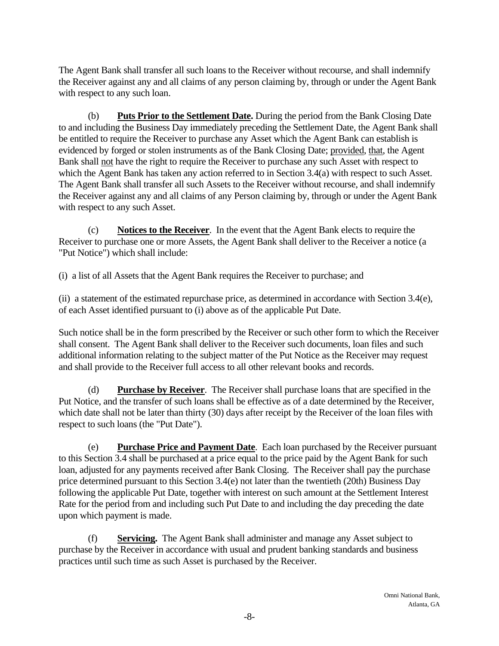The Agent Bank shall transfer all such loans to the Receiver without recourse, and shall indemnify the Receiver against any and all claims of any person claiming by, through or under the Agent Bank with respect to any such loan.

(b) **Puts Prior to the Settlement Date.** During the period from the Bank Closing Date to and including the Business Day immediately preceding the Settlement Date, the Agent Bank shall be entitled to require the Receiver to purchase any Asset which the Agent Bank can establish is evidenced by forged or stolen instruments as of the Bank Closing Date; provided, that, the Agent Bank shall not have the right to require the Receiver to purchase any such Asset with respect to which the Agent Bank has taken any action referred to in Section 3.4(a) with respect to such Asset. The Agent Bank shall transfer all such Assets to the Receiver without recourse, and shall indemnify the Receiver against any and all claims of any Person claiming by, through or under the Agent Bank with respect to any such Asset.

(c) **Notices to the Receiver**. In the event that the Agent Bank elects to require the Receiver to purchase one or more Assets, the Agent Bank shall deliver to the Receiver a notice (a "Put Notice") which shall include:

(i) a list of all Assets that the Agent Bank requires the Receiver to purchase; and

(ii) a statement of the estimated repurchase price, as determined in accordance with Section 3.4(e), of each Asset identified pursuant to (i) above as of the applicable Put Date.

Such notice shall be in the form prescribed by the Receiver or such other form to which the Receiver shall consent. The Agent Bank shall deliver to the Receiver such documents, loan files and such additional information relating to the subject matter of the Put Notice as the Receiver may request and shall provide to the Receiver full access to all other relevant books and records.

(d) **Purchase by Receiver**. The Receiver shall purchase loans that are specified in the Put Notice, and the transfer of such loans shall be effective as of a date determined by the Receiver, which date shall not be later than thirty (30) days after receipt by the Receiver of the loan files with respect to such loans (the "Put Date").

(e) **Purchase Price and Payment Date**. Each loan purchased by the Receiver pursuant to this Section 3.4 shall be purchased at a price equal to the price paid by the Agent Bank for such loan, adjusted for any payments received after Bank Closing. The Receiver shall pay the purchase price determined pursuant to this Section 3.4(e) not later than the twentieth (20th) Business Day following the applicable Put Date, together with interest on such amount at the Settlement Interest Rate for the period from and including such Put Date to and including the day preceding the date upon which payment is made.

(f) **Servicing.** The Agent Bank shall administer and manage any Asset subject to purchase by the Receiver in accordance with usual and prudent banking standards and business practices until such time as such Asset is purchased by the Receiver.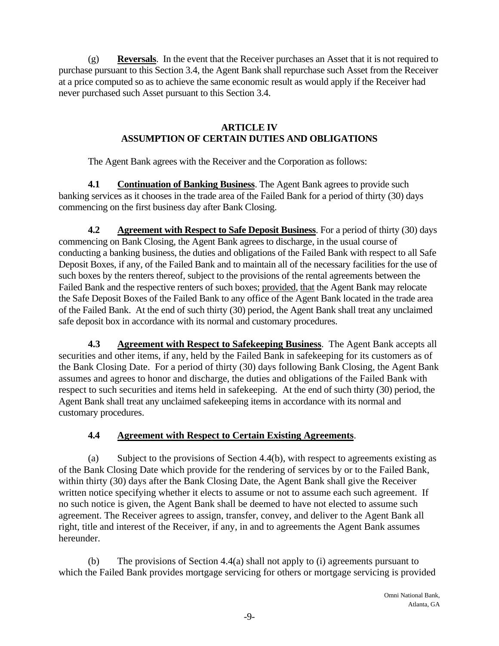(g) **Reversals**. In the event that the Receiver purchases an Asset that it is not required to purchase pursuant to this Section 3.4, the Agent Bank shall repurchase such Asset from the Receiver at a price computed so as to achieve the same economic result as would apply if the Receiver had never purchased such Asset pursuant to this Section 3.4.

#### **ARTICLE IV ASSUMPTION OF CERTAIN DUTIES AND OBLIGATIONS**

The Agent Bank agrees with the Receiver and the Corporation as follows:

**4.1 Continuation of Banking Business**. The Agent Bank agrees to provide such banking services as it chooses in the trade area of the Failed Bank for a period of thirty (30) days commencing on the first business day after Bank Closing.

**4.2** Agreement with Respect to Safe Deposit Business. For a period of thirty (30) days commencing on Bank Closing, the Agent Bank agrees to discharge, in the usual course of conducting a banking business, the duties and obligations of the Failed Bank with respect to all Safe Deposit Boxes, if any, of the Failed Bank and to maintain all of the necessary facilities for the use of such boxes by the renters thereof, subject to the provisions of the rental agreements between the Failed Bank and the respective renters of such boxes; provided, that the Agent Bank may relocate the Safe Deposit Boxes of the Failed Bank to any office of the Agent Bank located in the trade area of the Failed Bank. At the end of such thirty (30) period, the Agent Bank shall treat any unclaimed safe deposit box in accordance with its normal and customary procedures.

 respect to such securities and items held in safekeeping. At the end of such thirty (30) period, the **4.3 Agreement with Respect to Safekeeping Business**. The Agent Bank accepts all securities and other items, if any, held by the Failed Bank in safekeeping for its customers as of the Bank Closing Date. For a period of thirty (30) days following Bank Closing, the Agent Bank assumes and agrees to honor and discharge, the duties and obligations of the Failed Bank with Agent Bank shall treat any unclaimed safekeeping items in accordance with its normal and customary procedures.

## **4.4 Agreement with Respect to Certain Existing Agreements**.

(a) Subject to the provisions of Section 4.4(b), with respect to agreements existing as of the Bank Closing Date which provide for the rendering of services by or to the Failed Bank, within thirty (30) days after the Bank Closing Date, the Agent Bank shall give the Receiver written notice specifying whether it elects to assume or not to assume each such agreement. If no such notice is given, the Agent Bank shall be deemed to have not elected to assume such agreement. The Receiver agrees to assign, transfer, convey, and deliver to the Agent Bank all right, title and interest of the Receiver, if any, in and to agreements the Agent Bank assumes hereunder.

(b) The provisions of Section 4.4(a) shall not apply to (i) agreements pursuant to which the Failed Bank provides mortgage servicing for others or mortgage servicing is provided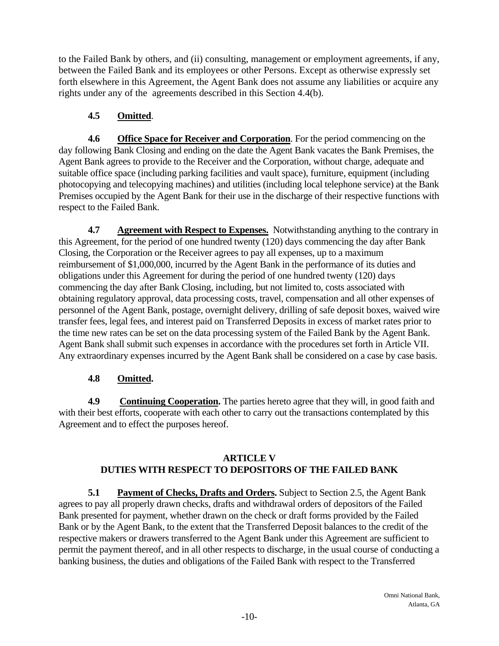to the Failed Bank by others, and (ii) consulting, management or employment agreements, if any, between the Failed Bank and its employees or other Persons. Except as otherwise expressly set forth elsewhere in this Agreement, the Agent Bank does not assume any liabilities or acquire any rights under any of the agreements described in this Section 4.4(b).

# **4.5 Omitted**.

**4.6 Office Space for Receiver and Corporation**. For the period commencing on the day following Bank Closing and ending on the date the Agent Bank vacates the Bank Premises, the Agent Bank agrees to provide to the Receiver and the Corporation, without charge, adequate and suitable office space (including parking facilities and vault space), furniture, equipment (including photocopying and telecopying machines) and utilities (including local telephone service) at the Bank Premises occupied by the Agent Bank for their use in the discharge of their respective functions with respect to the Failed Bank.

**4.7 Agreement with Respect to Expenses.** Notwithstanding anything to the contrary in this Agreement, for the period of one hundred twenty (120) days commencing the day after Bank Closing, the Corporation or the Receiver agrees to pay all expenses, up to a maximum reimbursement of \$1,000,000, incurred by the Agent Bank in the performance of its duties and obligations under this Agreement for during the period of one hundred twenty (120) days commencing the day after Bank Closing, including, but not limited to, costs associated with obtaining regulatory approval, data processing costs, travel, compensation and all other expenses of personnel of the Agent Bank, postage, overnight delivery, drilling of safe deposit boxes, waived wire transfer fees, legal fees, and interest paid on Transferred Deposits in excess of market rates prior to the time new rates can be set on the data processing system of the Failed Bank by the Agent Bank. Agent Bank shall submit such expenses in accordance with the procedures set forth in Article VII. Any extraordinary expenses incurred by the Agent Bank shall be considered on a case by case basis.

## **4.8 Omitted.**

4.9 **Continuing Cooperation.** The parties hereto agree that they will, in good faith and with their best efforts, cooperate with each other to carry out the transactions contemplated by this Agreement and to effect the purposes hereof.

### **ARTICLE V DUTIES WITH RESPECT TO DEPOSITORS OF THE FAILED BANK**

 **5.1 Payment of Checks, Drafts and Orders.** Subject to Section 2.5, the Agent Bank agrees to pay all properly drawn checks, drafts and withdrawal orders of depositors of the Failed Bank presented for payment, whether drawn on the check or draft forms provided by the Failed Bank or by the Agent Bank, to the extent that the Transferred Deposit balances to the credit of the respective makers or drawers transferred to the Agent Bank under this Agreement are sufficient to permit the payment thereof, and in all other respects to discharge, in the usual course of conducting a banking business, the duties and obligations of the Failed Bank with respect to the Transferred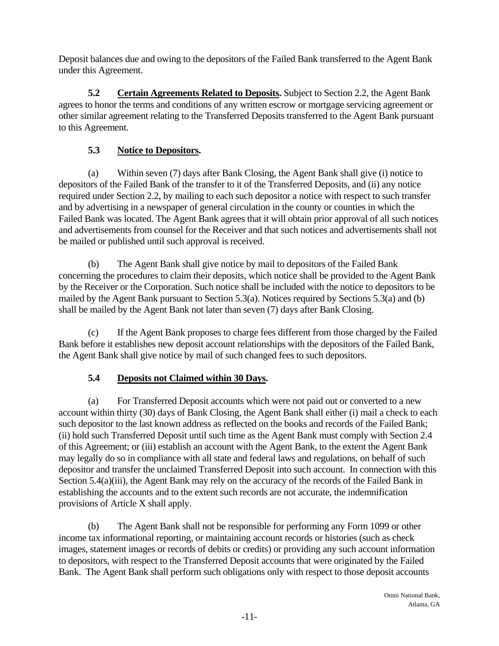Deposit balances due and owing to the depositors of the Failed Bank transferred to the Agent Bank under this Agreement.

**5.2** Certain Agreements Related to Deposits. Subject to Section 2.2, the Agent Bank agrees to honor the terms and conditions of any written escrow or mortgage servicing agreement or other similar agreement relating to the Transferred Deposits transferred to the Agent Bank pursuant to this Agreement.

# **5.3 Notice to Depositors.**

(a) Within seven (7) days after Bank Closing, the Agent Bank shall give (i) notice to depositors of the Failed Bank of the transfer to it of the Transferred Deposits, and (ii) any notice required under Section 2.2, by mailing to each such depositor a notice with respect to such transfer and by advertising in a newspaper of general circulation in the county or counties in which the Failed Bank was located. The Agent Bank agrees that it will obtain prior approval of all such notices and advertisements from counsel for the Receiver and that such notices and advertisements shall not be mailed or published until such approval is received.

(b) The Agent Bank shall give notice by mail to depositors of the Failed Bank concerning the procedures to claim their deposits, which notice shall be provided to the Agent Bank by the Receiver or the Corporation. Such notice shall be included with the notice to depositors to be mailed by the Agent Bank pursuant to Section 5.3(a). Notices required by Sections 5.3(a) and (b) shall be mailed by the Agent Bank not later than seven (7) days after Bank Closing.

(c) If the Agent Bank proposes to charge fees different from those charged by the Failed Bank before it establishes new deposit account relationships with the depositors of the Failed Bank, the Agent Bank shall give notice by mail of such changed fees to such depositors.

## **5.4 Deposits not Claimed within 30 Days.**

(a) For Transferred Deposit accounts which were not paid out or converted to a new account within thirty (30) days of Bank Closing, the Agent Bank shall either (i) mail a check to each such depositor to the last known address as reflected on the books and records of the Failed Bank; (ii) hold such Transferred Deposit until such time as the Agent Bank must comply with Section 2.4 of this Agreement; or (iii) establish an account with the Agent Bank, to the extent the Agent Bank may legally do so in compliance with all state and federal laws and regulations, on behalf of such depositor and transfer the unclaimed Transferred Deposit into such account. In connection with this Section 5.4(a)(iii), the Agent Bank may rely on the accuracy of the records of the Failed Bank in establishing the accounts and to the extent such records are not accurate, the indemnification provisions of Article X shall apply.

(b) The Agent Bank shall not be responsible for performing any Form 1099 or other income tax informational reporting, or maintaining account records or histories (such as check images, statement images or records of debits or credits) or providing any such account information to depositors, with respect to the Transferred Deposit accounts that were originated by the Failed Bank. The Agent Bank shall perform such obligations only with respect to those deposit accounts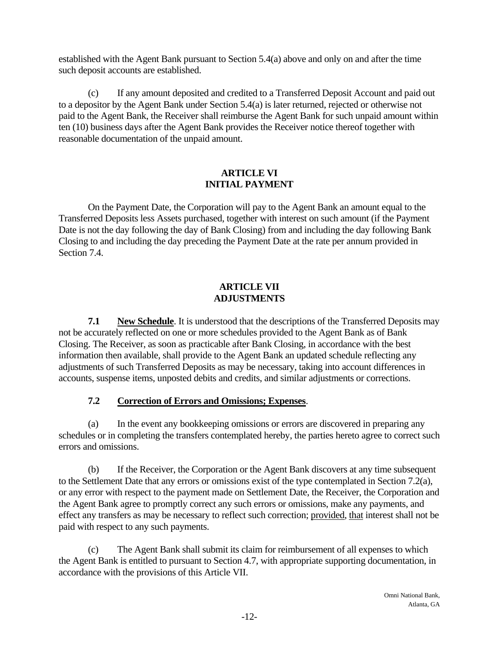established with the Agent Bank pursuant to Section 5.4(a) above and only on and after the time such deposit accounts are established.

(c) If any amount deposited and credited to a Transferred Deposit Account and paid out to a depositor by the Agent Bank under Section 5.4(a) is later returned, rejected or otherwise not paid to the Agent Bank, the Receiver shall reimburse the Agent Bank for such unpaid amount within ten (10) business days after the Agent Bank provides the Receiver notice thereof together with reasonable documentation of the unpaid amount.

### **ARTICLE VI INITIAL PAYMENT**

On the Payment Date, the Corporation will pay to the Agent Bank an amount equal to the Transferred Deposits less Assets purchased, together with interest on such amount (if the Payment Date is not the day following the day of Bank Closing) from and including the day following Bank Closing to and including the day preceding the Payment Date at the rate per annum provided in Section 7.4.

### **ARTICLE VII ADJUSTMENTS**

**7.1** New Schedule. It is understood that the descriptions of the Transferred Deposits may not be accurately reflected on one or more schedules provided to the Agent Bank as of Bank Closing. The Receiver, as soon as practicable after Bank Closing, in accordance with the best information then available, shall provide to the Agent Bank an updated schedule reflecting any adjustments of such Transferred Deposits as may be necessary, taking into account differences in accounts, suspense items, unposted debits and credits, and similar adjustments or corrections.

# **7.2 Correction of Errors and Omissions; Expenses**.

(a) In the event any bookkeeping omissions or errors are discovered in preparing any schedules or in completing the transfers contemplated hereby, the parties hereto agree to correct such errors and omissions.

(b) If the Receiver, the Corporation or the Agent Bank discovers at any time subsequent to the Settlement Date that any errors or omissions exist of the type contemplated in Section 7.2(a), or any error with respect to the payment made on Settlement Date, the Receiver, the Corporation and the Agent Bank agree to promptly correct any such errors or omissions, make any payments, and effect any transfers as may be necessary to reflect such correction; provided, that interest shall not be paid with respect to any such payments.

(c) The Agent Bank shall submit its claim for reimbursement of all expenses to which the Agent Bank is entitled to pursuant to Section 4.7, with appropriate supporting documentation, in accordance with the provisions of this Article VII.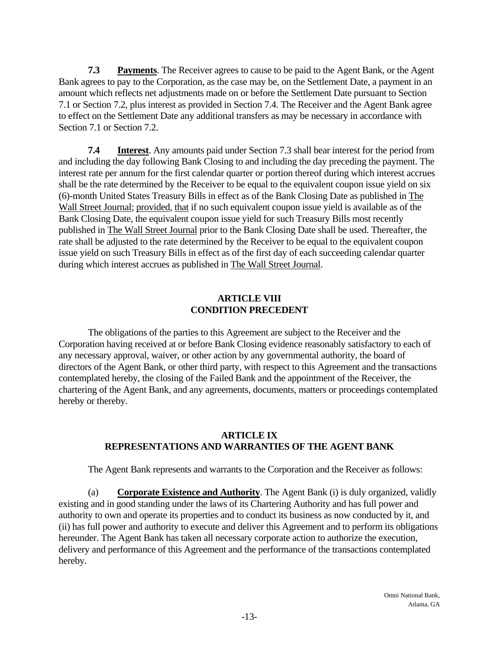**7.3** Payments. The Receiver agrees to cause to be paid to the Agent Bank, or the Agent Bank agrees to pay to the Corporation, as the case may be, on the Settlement Date, a payment in an amount which reflects net adjustments made on or before the Settlement Date pursuant to Section 7.1 or Section 7.2, plus interest as provided in Section 7.4. The Receiver and the Agent Bank agree to effect on the Settlement Date any additional transfers as may be necessary in accordance with Section 7.1 or Section 7.2.

 **7.4 Interest**. Any amounts paid under Section 7.3 shall bear interest for the period from and including the day following Bank Closing to and including the day preceding the payment. The interest rate per annum for the first calendar quarter or portion thereof during which interest accrues shall be the rate determined by the Receiver to be equal to the equivalent coupon issue yield on six (6)-month United States Treasury Bills in effect as of the Bank Closing Date as published in The Wall Street Journal; provided, that if no such equivalent coupon issue yield is available as of the Bank Closing Date, the equivalent coupon issue yield for such Treasury Bills most recently published in The Wall Street Journal prior to the Bank Closing Date shall be used. Thereafter, the rate shall be adjusted to the rate determined by the Receiver to be equal to the equivalent coupon issue yield on such Treasury Bills in effect as of the first day of each succeeding calendar quarter during which interest accrues as published in The Wall Street Journal.

### **ARTICLE VIII CONDITION PRECEDENT**

The obligations of the parties to this Agreement are subject to the Receiver and the Corporation having received at or before Bank Closing evidence reasonably satisfactory to each of any necessary approval, waiver, or other action by any governmental authority, the board of directors of the Agent Bank, or other third party, with respect to this Agreement and the transactions contemplated hereby, the closing of the Failed Bank and the appointment of the Receiver, the chartering of the Agent Bank, and any agreements, documents, matters or proceedings contemplated hereby or thereby.

### **ARTICLE IX REPRESENTATIONS AND WARRANTIES OF THE AGENT BANK**

 The Agent Bank represents and warrants to the Corporation and the Receiver as follows:

 (a) **Corporate Existence and Authority**. The Agent Bank (i) is duly organized, validly existing and in good standing under the laws of its Chartering Authority and has full power and authority to own and operate its properties and to conduct its business as now conducted by it, and (ii) has full power and authority to execute and deliver this Agreement and to perform its obligations hereunder. The Agent Bank has taken all necessary corporate action to authorize the execution, delivery and performance of this Agreement and the performance of the transactions contemplated hereby.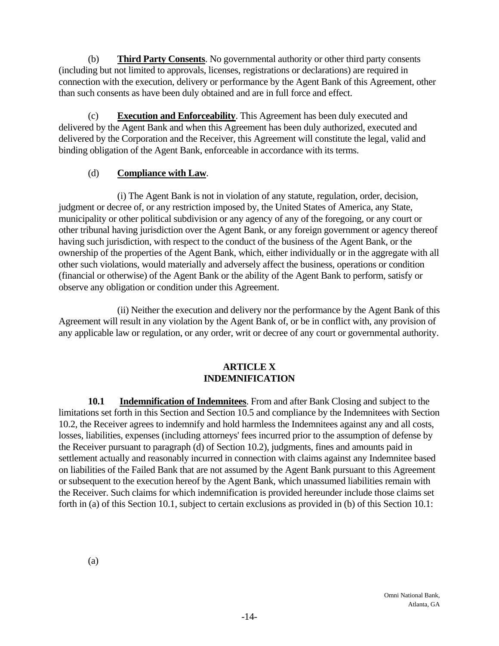(b) **Third Party Consents**. No governmental authority or other third party consents (including but not limited to approvals, licenses, registrations or declarations) are required in connection with the execution, delivery or performance by the Agent Bank of this Agreement, other than such consents as have been duly obtained and are in full force and effect.

(c) **Execution and Enforceability**. This Agreement has been duly executed and delivered by the Agent Bank and when this Agreement has been duly authorized, executed and delivered by the Corporation and the Receiver, this Agreement will constitute the legal, valid and binding obligation of the Agent Bank, enforceable in accordance with its terms.

### (d) **Compliance with Law**.

 (i) The Agent Bank is not in violation of any statute, regulation, order, decision, judgment or decree of, or any restriction imposed by, the United States of America, any State, municipality or other political subdivision or any agency of any of the foregoing, or any court or other tribunal having jurisdiction over the Agent Bank, or any foreign government or agency thereof having such jurisdiction, with respect to the conduct of the business of the Agent Bank, or the ownership of the properties of the Agent Bank, which, either individually or in the aggregate with all other such violations, would materially and adversely affect the business, operations or condition (financial or otherwise) of the Agent Bank or the ability of the Agent Bank to perform, satisfy or observe any obligation or condition under this Agreement.

(ii) Neither the execution and delivery nor the performance by the Agent Bank of this Agreement will result in any violation by the Agent Bank of, or be in conflict with, any provision of any applicable law or regulation, or any order, writ or decree of any court or governmental authority.

### **ARTICLE X INDEMNIFICATION**

**10.1 Indemnification of Indemnitees**. From and after Bank Closing and subject to the limitations set forth in this Section and Section 10.5 and compliance by the Indemnitees with Section 10.2, the Receiver agrees to indemnify and hold harmless the Indemnitees against any and all costs, losses, liabilities, expenses (including attorneys' fees incurred prior to the assumption of defense by the Receiver pursuant to paragraph (d) of Section 10.2), judgments, fines and amounts paid in settlement actually and reasonably incurred in connection with claims against any Indemnitee based on liabilities of the Failed Bank that are not assumed by the Agent Bank pursuant to this Agreement or subsequent to the execution hereof by the Agent Bank, which unassumed liabilities remain with the Receiver. Such claims for which indemnification is provided hereunder include those claims set forth in (a) of this Section 10.1, subject to certain exclusions as provided in (b) of this Section 10.1: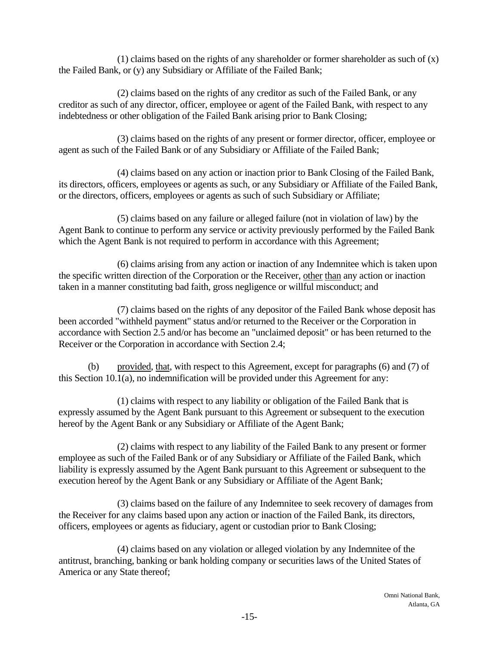(1) claims based on the rights of any shareholder or former shareholder as such of  $(x)$ the Failed Bank, or (y) any Subsidiary or Affiliate of the Failed Bank;

 (2) claimsbased on the rights of any creditor as such of the Failed Bank, or any creditor as such of any director, officer, employee or agent of the Failed Bank, with respect to any indebtedness or other obligation of the Failed Bank arising prior to Bank Closing;

 (3) claimsbased on the rights of any present or former director, officer, employee or agent as such of the Failed Bank or of any Subsidiary or Affiliate of the Failed Bank;

 (4) claimsbased on any action or inaction prior to Bank Closing of the Failed Bank, its directors, officers, employees or agents as such, or any Subsidiary or Affiliate of the Failed Bank, or the directors, officers, employees or agents as such of such Subsidiary or Affiliate;

 (5) claimsbased on any failure or alleged failure (not in violation of law) by the Agent Bank to continue to perform any service or activity previously performed by the Failed Bank which the Agent Bank is not required to perform in accordance with this Agreement;

(6) claims arising from any action or inaction of any Indemnitee which is taken upon the specific written direction of the Corporation or the Receiver, other than any action or inaction taken in a manner constituting bad faith, gross negligence or willful misconduct; and

 (7) claimsbased on the rights of any depositor of the Failed Bank whose deposit has been accorded "withheld payment" status and/or returned to the Receiver or the Corporation in accordance with Section 2.5 and/or has become an "unclaimed deposit" or has been returned to the Receiver or the Corporation in accordance with Section 2.4;

(b) provided, that, with respect to this Agreement, except for paragraphs (6) and (7) of this Section 10.1(a), no indemnification will be provided under this Agreement for any:

 (1) claimswith respect to any liability or obligation of the Failed Bank that is expressly assumed by the Agent Bank pursuant to this Agreement or subsequent to the execution hereof by the Agent Bank or any Subsidiary or Affiliate of the Agent Bank;

 (2) claimswith respect to any liability of the Failed Bank to any present or former employee as such of the Failed Bank or of any Subsidiary or Affiliate of the Failed Bank, which liability is expressly assumed by the Agent Bank pursuant to this Agreement or subsequent to the execution hereof by the Agent Bank or any Subsidiary or Affiliate of the Agent Bank;

 (3) claimsbased on the failure of any Indemnitee to seek recovery of damages from the Receiver for any claims based upon any action or inaction of the Failed Bank, its directors, officers, employees or agents as fiduciary, agent or custodian prior to Bank Closing;

 (4) claimsbased on any violation or alleged violation by any Indemnitee of the antitrust, branching, banking or bank holding company or securities laws of the United States of America or any State thereof;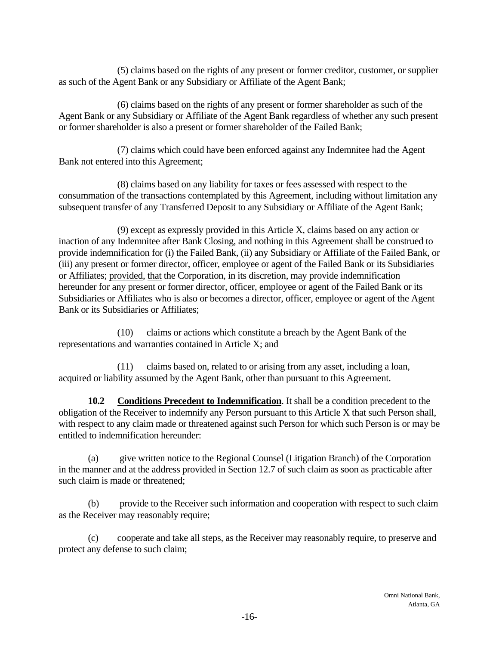(5) claimsbased on the rights of any present or former creditor, customer, or supplier as such of the Agent Bank or any Subsidiary or Affiliate of the Agent Bank;

 (6) claimsbased on the rights of any present or former shareholder as such of the Agent Bank or any Subsidiary or Affiliate of the Agent Bank regardless of whether any such present or former shareholder is also a present or former shareholder of the Failed Bank;

 (7) claimswhich could have been enforced against any Indemnitee had the Agent Bank not entered into this Agreement;

 (8) claimsbased on any liability for taxes or fees assessed with respect to the consummation of the transactions contemplated by this Agreement, including without limitation any subsequent transfer of any Transferred Deposit to any Subsidiary or Affiliate of the Agent Bank;

 $(9)$  except as expressly provided in this Article X, claims based on any action or inaction of any Indemnitee after Bank Closing, and nothing in this Agreement shall be construed to provide indemnification for (i) the Failed Bank, (ii) any Subsidiary or Affiliate of the Failed Bank, or (iii) any present or former director, officer, employee or agent of the Failed Bank or its Subsidiaries or Affiliates; provided, that the Corporation, in its discretion, may provide indemnification hereunder for any present or former director, officer, employee or agent of the Failed Bank or its Subsidiaries or Affiliates who is also or becomes a director, officer, employee or agent of the Agent Bank or its Subsidiaries or Affiliates;

(10) claims or actions which constitute a breach by the Agent Bank of the representations and warranties contained in Article X; and

(11) claims based on, related to or arising from any asset, including a loan, acquired or liability assumed by the Agent Bank, other than pursuant to this Agreement.

**10.2 Conditions Precedent to Indemnification**. It shall be a condition precedent to the obligation of the Receiver to indemnify any Person pursuant to this Article X that such Person shall, with respect to any claim made or threatened against such Person for which such Person is or may be entitled to indemnification hereunder:

(a) give written notice to the Regional Counsel (Litigation Branch) of the Corporation in the manner and at the address provided in Section 12.7 of such claim as soon as practicable after such claim is made or threatened;

(b) provide to the Receiver such information and cooperation with respect to such claim as the Receiver may reasonably require;

(c) cooperate and take all steps, as the Receiver may reasonably require, to preserve and protect any defense to such claim;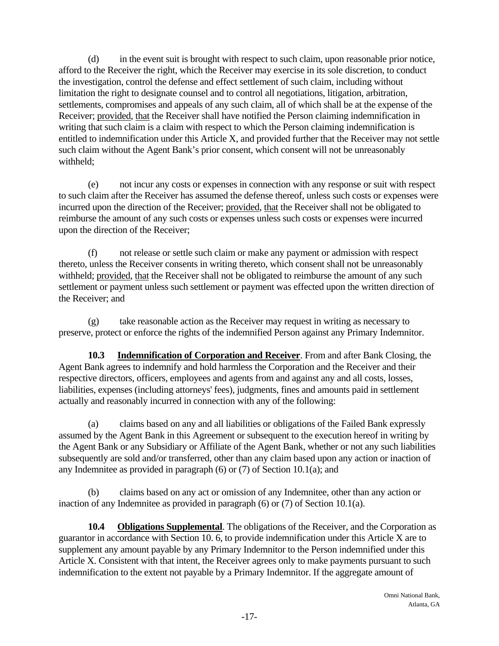(d) in the event suit is brought with respect to such claim, upon reasonable prior notice, afford to the Receiver the right, which the Receiver may exercise in its sole discretion, to conduct the investigation, control the defense and effect settlement of such claim, including without limitation the right to designate counsel and to control all negotiations, litigation, arbitration, settlements, compromises and appeals of any such claim, all of which shall be at the expense of the Receiver; provided, that the Receiver shall have notified the Person claiming indemnification in writing that such claim is a claim with respect to which the Person claiming indemnification is entitled to indemnification under this Article X, and provided further that the Receiver may not settle such claim without the Agent Bank's prior consent, which consent will not be unreasonably withheld;

(e) not incur any costs or expenses in connection with any response or suit with respect to such claim after the Receiver has assumed the defense thereof, unless such costs or expenses were incurred upon the direction of the Receiver; provided, that the Receiver shall not be obligated to reimburse the amount of any such costs or expenses unless such costs or expenses were incurred upon the direction of the Receiver;

(f) not release or settle such claim or make any payment or admission with respect thereto, unless the Receiver consents in writing thereto, which consent shall not be unreasonably withheld; provided, that the Receiver shall not be obligated to reimburse the amount of any such settlement or payment unless such settlement or payment was effected upon the written direction of the Receiver; and

(g) take reasonable action as the Receiver may request in writing as necessary to preserve, protect or enforce the rights of the indemnified Person against any Primary Indemnitor.

**10.3 Indemnification of Corporation and Receiver**. From and after Bank Closing, the Agent Bank agrees to indemnify and hold harmless the Corporation and the Receiver and their respective directors, officers, employees and agents from and against any and all costs, losses, liabilities, expenses (including attorneys' fees), judgments, fines and amounts paid in settlement actually and reasonably incurred in connection with any of the following:

(a) claims based on any and all liabilities or obligations of the Failed Bank expressly assumed by the Agent Bank in this Agreement or subsequent to the execution hereof in writing by the Agent Bank or any Subsidiary or Affiliate of the Agent Bank, whether or not any such liabilities subsequently are sold and/or transferred, other than any claim based upon any action or inaction of any Indemnitee as provided in paragraph (6) or (7) of Section 10.1(a); and

(b) claims based on any act or omission of any Indemnitee, other than any action or inaction of any Indemnitee as provided in paragraph (6) or (7) of Section 10.1(a).

**10.4 Obligations Supplemental**. The obligations of the Receiver, and the Corporation as guarantor in accordance with Section 10. 6, to provide indemnification under this Article X are to supplement any amount payable by any Primary Indemnitor to the Person indemnified under this Article X. Consistent with that intent, the Receiver agrees only to make payments pursuant to such indemnification to the extent not payable by a Primary Indemnitor. If the aggregate amount of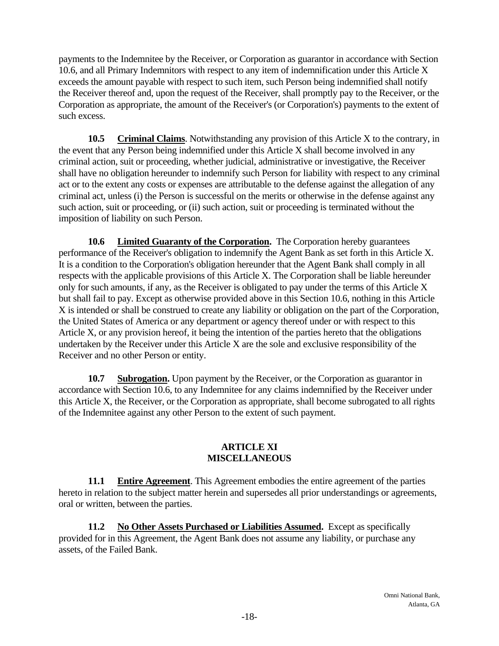payments to the Indemnitee by the Receiver, or Corporation as guarantor in accordance with Section 10.6, and all Primary Indemnitors with respect to any item of indemnification under this Article X exceeds the amount payable with respect to such item, such Person being indemnified shall notify the Receiver thereof and, upon the request of the Receiver, shall promptly pay to the Receiver, or the Corporation as appropriate, the amount of the Receiver's (or Corporation's) payments to the extent of such excess.

**10.5 Criminal Claims**. Notwithstanding any provision of this Article X to the contrary, in the event that any Person being indemnified under this Article X shall become involved in any criminal action, suit or proceeding, whether judicial, administrative or investigative, the Receiver shall have no obligation hereunder to indemnify such Person for liability with respect to any criminal act or to the extent any costs or expenses are attributable to the defense against the allegation of any criminal act, unless (i) the Person is successful on the merits or otherwise in the defense against any such action, suit or proceeding, or (ii) such action, suit or proceeding is terminated without the imposition of liability on such Person.

**10.6 Limited Guaranty of the Corporation.** The Corporation hereby guarantees performance of the Receiver's obligation to indemnify the Agent Bank as set forth in this Article X. It is a condition to the Corporation's obligation hereunder that the Agent Bank shall comply in all respects with the applicable provisions of this Article X. The Corporation shall be liable hereunder only for such amounts, if any, as the Receiver is obligated to pay under the terms of this Article X but shall fail to pay. Except as otherwise provided above in this Section 10.6, nothing in this Article X is intended or shall be construed to create any liability or obligation on the part of the Corporation, the United States of America or any department or agency thereof under or with respect to this Article X, or any provision hereof, it being the intention of the parties hereto that the obligations undertaken by the Receiver under this Article X are the sole and exclusive responsibility of the Receiver and no other Person or entity.

**10.7 Subrogation.** Upon payment by the Receiver, or the Corporation as guarantor in accordance with Section 10.6, to any Indemnitee for any claims indemnified by the Receiver under this Article X, the Receiver, or the Corporation as appropriate, shall become subrogated to all rights of the Indemnitee against any other Person to the extent of such payment.

#### **ARTICLE XI MISCELLANEOUS**

**11.1 Entire Agreement**. This Agreement embodies the entire agreement of the parties hereto in relation to the subject matter herein and supersedes all prior understandings or agreements, oral or written, between the parties.

**11.2 No Other Assets Purchased or Liabilities Assumed.** Except as specifically provided for in this Agreement, the Agent Bank does not assume any liability, or purchase any assets, of the Failed Bank.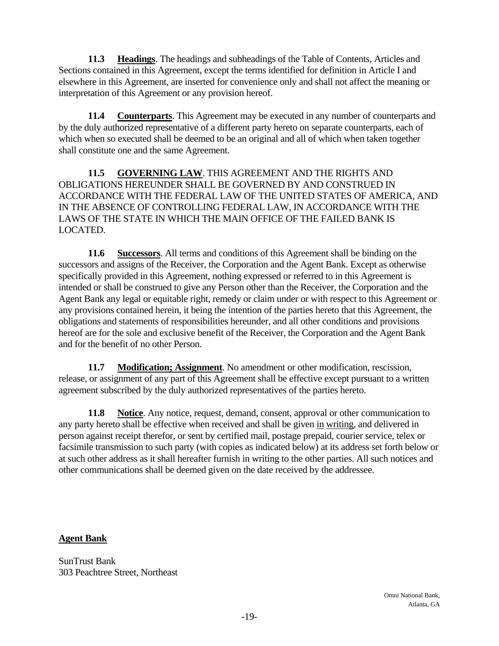**11.3 Headings**. The headings and subheadings of the Table of Contents, Articles and Sections contained in this Agreement, except the terms identified for definition in Article I and elsewhere in this Agreement, are inserted for convenience only and shall not affect the meaning or interpretation of this Agreement or any provision hereof.

**11.4 Counterparts**. This Agreement may be executed in any number of counterparts and by the duly authorized representative of a different party hereto on separate counterparts, each of which when so executed shall be deemed to be an original and all of which when taken together shall constitute one and the same Agreement.

**11.5 GOVERNING LAW**. THIS AGREEMENT AND THE RIGHTS AND OBLIGATIONS HEREUNDER SHALL BE GOVERNED BY AND CONSTRUED IN ACCORDANCE WITH THE FEDERAL LAW OF THE UNITED STATES OF AMERICA, AND IN THE ABSENCE OF CONTROLLING FEDERAL LAW, IN ACCORDANCE WITH THE LAWS OF THE STATE IN WHICH THE MAIN OFFICE OF THE FAILED BANK IS LOCATED.

**11.6 Successors**. All terms and conditions of this Agreement shall be binding on the successors and assigns of the Receiver, the Corporation and the Agent Bank. Except as otherwise specifically provided in this Agreement, nothing expressed or referred to in this Agreement is intended or shall be construed to give any Person other than the Receiver, the Corporation and the Agent Bank any legal or equitable right, remedy or claim under or with respect to this Agreement or any provisions contained herein, it being the intention of the parties hereto that this Agreement, the obligations and statements of responsibilities hereunder, and all other conditions and provisions hereof are for the sole and exclusive benefit of the Receiver, the Corporation and the Agent Bank and for the benefit of no other Person.

**11.7 Modification; Assignment**. No amendment or other modification, rescission, release, or assignment of any part of this Agreement shall be effective except pursuant to a written agreement subscribed by the duly authorized representatives of the parties hereto.

**11.8 Notice**. Any notice, request, demand, consent, approval or other communication to any party hereto shall be effective when received and shall be given in writing, and delivered in person against receipt therefor, or sent by certified mail, postage prepaid, courier service, telex or facsimile transmission to such party (with copies as indicated below) at its address set forth below or at such other address as it shall hereafter furnish in writing to the other parties. All such notices and other communications shall be deemed given on the date received by the addressee.

### **Agent Bank**

SunTrust Bank 303 Peachtree Street, Northeast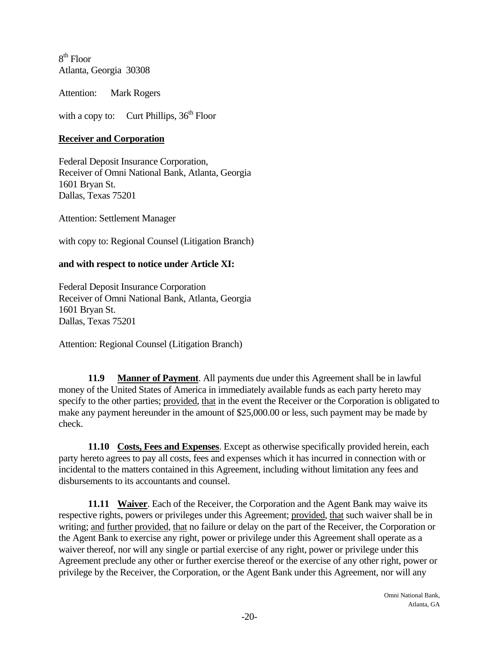$8<sup>th</sup>$  Floor Atlanta, Georgia 30308

Attention: Mark Rogers

with a copy to: Curt Phillips,  $36<sup>th</sup>$  Floor

### **Receiver and Corporation**

Federal Deposit Insurance Corporation, Receiver of Omni National Bank, Atlanta, Georgia 1601 Bryan St. Dallas, Texas 75201

Attention: Settlement Manager

with copy to: Regional Counsel (Litigation Branch)

### **and with respect to notice under Article XI:**

Federal Deposit Insurance Corporation Receiver of Omni National Bank, Atlanta, Georgia 1601 Bryan St. Dallas, Texas 75201

Attention: Regional Counsel (Litigation Branch)

**11.9 Manner of Payment**. All payments due under this Agreement shall be in lawful money of the United States of America in immediately available funds as each party hereto may specify to the other parties; provided, that in the event the Receiver or the Corporation is obligated to make any payment hereunder in the amount of \$25,000.00 or less, such payment may be made by check.

**11.10 Costs, Fees and Expenses**. Except as otherwise specifically provided herein, each party hereto agrees to pay all costs, fees and expenses which it has incurred in connection with or incidental to the matters contained in this Agreement, including without limitation any fees and disbursements to its accountants and counsel.

**11.11 Waiver**. Each of the Receiver, the Corporation and the Agent Bank may waive its respective rights, powers or privileges under this Agreement; provided, that such waiver shall be in writing; and further provided, that no failure or delay on the part of the Receiver, the Corporation or the Agent Bank to exercise any right, power or privilege under this Agreement shall operate as a waiver thereof, nor will any single or partial exercise of any right, power or privilege under this Agreement preclude any other or further exercise thereof or the exercise of any other right, power or privilege by the Receiver, the Corporation, or the Agent Bank under this Agreement, nor will any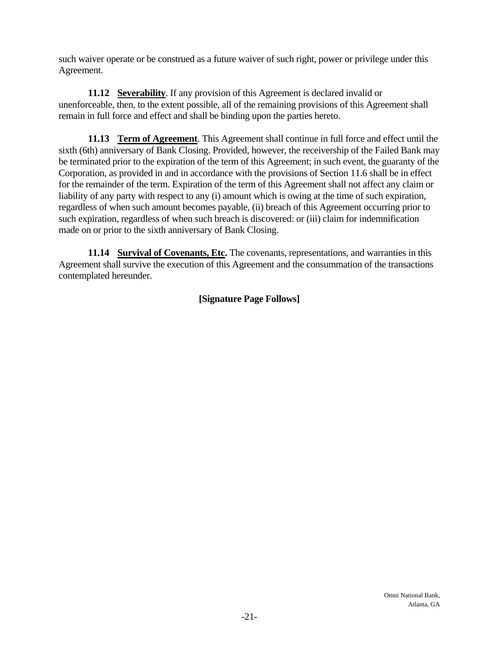such waiver operate or be construed as a future waiver of such right, power or privilege under this Agreement.

**11.12 Severability.** If any provision of this Agreement is declared invalid or unenforceable, then, to the extent possible, all of the remaining provisions of this Agreement shall remain in full force and effect and shall be binding upon the parties hereto.

**11.13 Term of Agreement**. This Agreement shall continue in full force and effect until the sixth (6th) anniversary of Bank Closing. Provided, however, the receivership of the Failed Bank may be terminated prior to the expiration of the term of this Agreement; in such event, the guaranty of the Corporation, as provided in and in accordance with the provisions of Section 11.6 shall be in effect for the remainder of the term. Expiration of the term of this Agreement shall not affect any claim or liability of any party with respect to any (i) amount which is owing at the time of such expiration, regardless of when such amount becomes payable, (ii) breach of this Agreement occurring prior to such expiration, regardless of when such breach is discovered: or (iii) claim for indemnification made on or prior to the sixth anniversary of Bank Closing.

**11.14 Survival of Covenants, Etc.** The covenants, representations, and warranties in this Agreement shall survive the execution of this Agreement and the consummation of the transactions contemplated hereunder.

# **[Signature Page Follows]**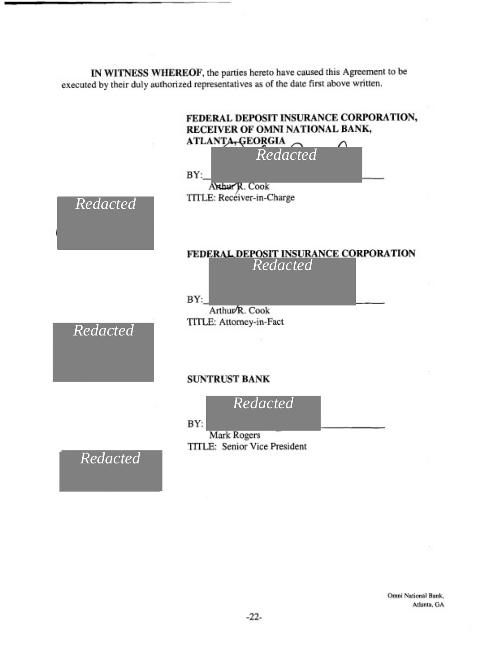**IN WITNESS WHEREOF,** the parties hereto have caused this Agreement to be executed by their duly authorized representatives as of the date first above written.



*Redacted*